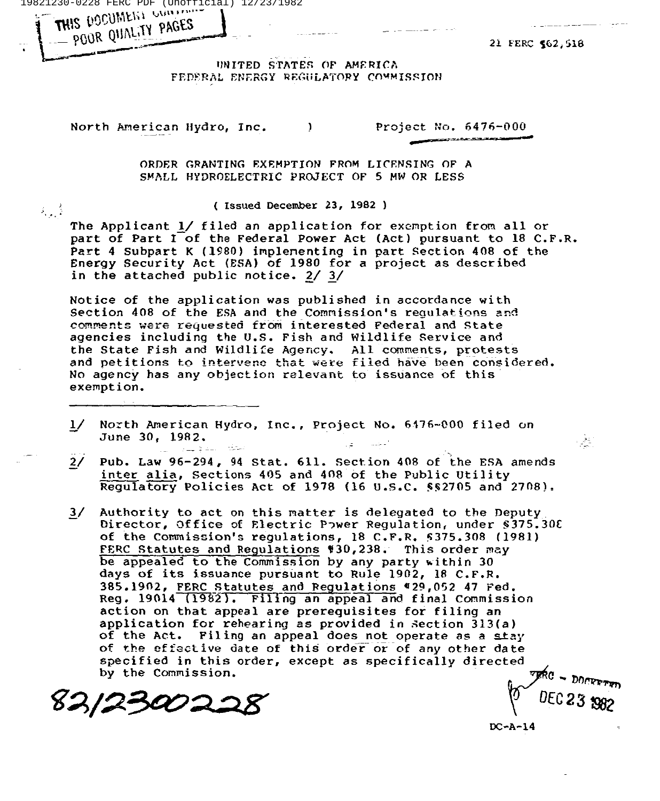19821230-0228 FERC PDF (Unofficial) 12/23/1982

OOR QUINLITY PAGES

THIS DOCUMENT

 $\lambda_{\rm{max}}$ 

21 FERC 562,518

UNITED STATES OF AMERICA<br>FEDERAL ENERGY REGULATORY COMMISSIO UNITED STATES OF AMERICA

North American Hydro, Inc. (a) Project No. 6476-000

ORDER GRANTING EXEMPTION FROM LICENSING OF A SMALL HYDROELECTRIC PROJECT OF 5 MW OR LESS

( Issued December 23, 1982 )

The Applicant 1/ filed an application for exemption from all or part of Part I of the Federal Power Act (Act) pursuant to 18 C.F.R. Part 4 Subpart K (1980) implenenting in part Section 408 of the Energy Security Act (ESA) of 1980 for a project as described in the attached public notice. 2/ 3/

Notice of the application was published in accordance with Section 408 of the ESA and the Commission's regulations and comments were requested from interested Federal and State agencies including the U.S. Fish and Wildlife Service and the State Fish and Wildlife Agency. All comments, protests and petitions to intervene that were filed have been considered. No agency has any objection relevant to issuance of this exemption.

- $1/$ North American Hydro, Inc., Project No. 6476-000 filed on June 30, 1982.
- 2/ Pub. Law 96-294, <sup>94</sup> Stat. 611. Sect.ion 408 of the ESA amends inter alia, Sections 405 and 408 of the Public Utility Regulatory Policies Act of 1978 (16  $U.S.C.$  \$\$2705 and 2708).
- 3/ Authority to act on this matter is delegated to the Deputy<br>Director, Office of Electric Power Regulation, under \$375.30E of the Commission's regulations, 18 C.F.R. 8375.308 (1981) FERC Statutes and Regulations #30,238. This order may be appealed to the Commission by any party within 30 days of its issuance pursuant to Rule 1902, <sup>18</sup> C.F.R. 385.1902, FERC Statutes and Regulations #29,052 47 Fed. Reg. 19014 (1982). Filing an appeal and final Commission action on that appeal are prerequisites for filing an application for rehearing as provided in Section 313(a) of the Act. Filing an appeal does not operate as a stay of the effective date of this order or of any other date specified in this order, except as specifically directed by the Commission.

82/230022

C23 982

ا شاهر .<br>المساهر

DC-A-14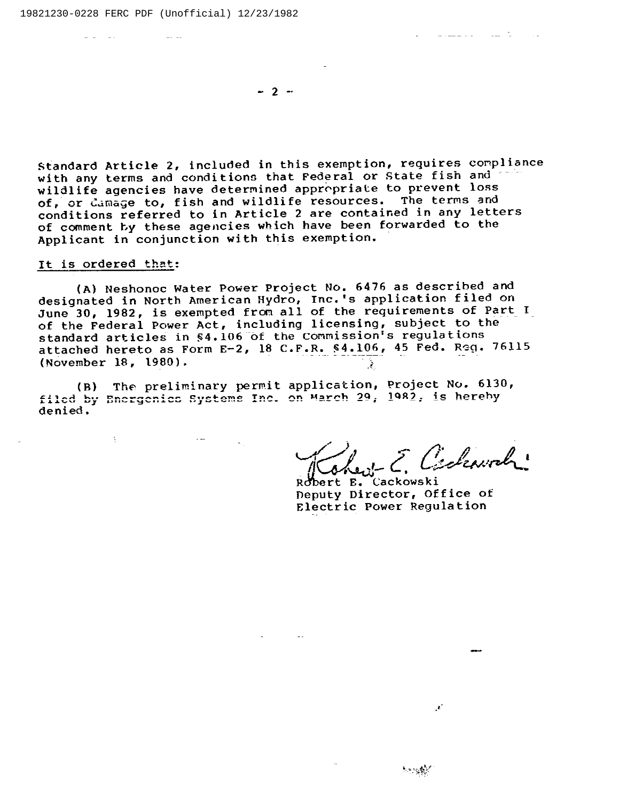$-2 -$ 

Standard Article 2, included in this exemption, requires compliance with any terms and conditions that Federal or State fish and wildlife agencies have determined appropriate to prevent loss of, or damage to, fish and wildlife resources. The terms and or, or camage to, rish and wildlife resources. The cerms and<br>conditions referred to in Article 2 are contained in any letter conditions referred to in Article 2 are concurned in any 1990s Applicant in conjunction with this exemption.

## It is ordered that:

**B** 

 $\frac{1}{2} \left( \frac{1}{2} \right) \left( \frac{1}{2} \right) \left( \frac{1}{2} \right) \left( \frac{1}{2} \right) \left( \frac{1}{2} \right)$ 

(A) Neshonoc Water Power Project No. 6476 as described and designated in North American Hydro, Inc. 's application filed on June 30, 1982, is exempted from all of the requirements of Part I of the Federal Power Act, including licensing, subject to the standard articles in %4. 106 of the commission's regulations attached hereto as Form E-2, 18 C.F.R. \$4.106, 45 Fed. Reg. 76115 (November 18, 1980). ્રદે

(8) The prelim'nary permit application, Project No. 6130, filed by Energenics Systems Inc. on March 29, 1982, is hereby denied.

ent E. Cickenval

 $\mathbf{z}^{\prime}$ 

医动物囊炎

فالمراد والأناسف والانتشار فيفتد والمراد

Robert E. Cackowski Deputy Director, Office of Electric Power Regulation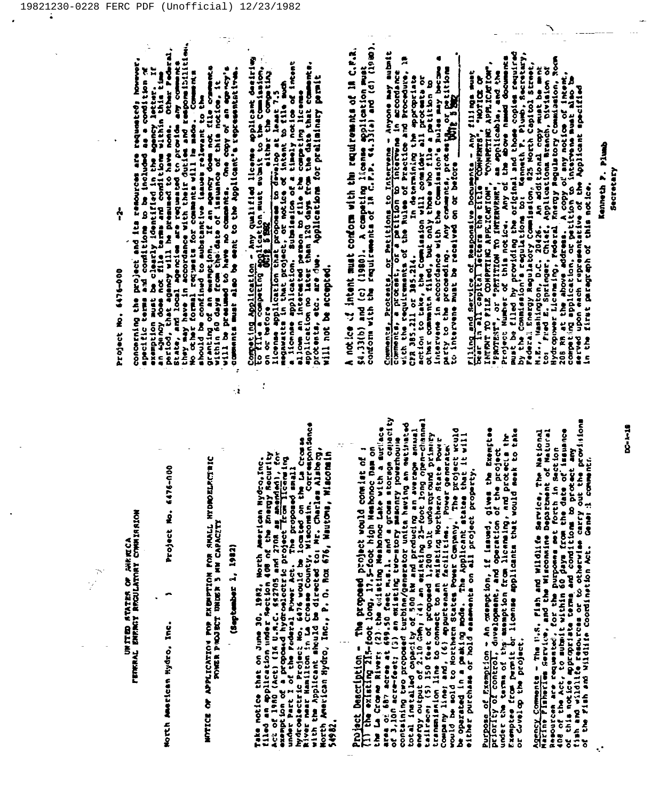## UNITED ATATES OF HIRECA<br>Tenral Enrigy Rroulatory Commission

 $\frac{1}{\gamma}$ 

Morth American Hydro, Inc.

Project No. 6476-000

# MULICE ON VERFICYLION BOB EXERICH BOB SHVIT HADROETWICHE

## (September 1, 1982)

7

÷ż

Take notice that on June 30, 1982, North American Nydro, Inc.<br>111ed an application under Section 408 of the Energy Recurity<br>Act of 1980 (Act) (16 U.A.C. 582705 and 2708 an amenden), for<br>examption of a proposed hydroalcetti 54982. Project Description - The proposed project would consist of :<br>Tip the existing ZIS-foot long, 17,5-foot high Neahonoc Dam on<br>the Le Growe Rivers (2) the coileting Neahonoc Lake with a surjace<br>orbitaling two proposed turbi

Purpose of Exemption - An oxemption, if issued, gives the Exemptee<br>priority of control, davelopment, and operation of the project<br>under the terms of thy exemption from licensing, and protects the<br>Exemptee from permit or li

Agency Comments - The U.S. Fish and Wildlife Service, The National<br>Nesources are requested, for the Misconsine Department of Matural<br>408 of the Act, to submit within 60 jays from the date of issueince<br>of this notice approp

 $\ddot{\cdot}$ 

Project No. 6476-000

۸

skemption must be clearly identified in the age of version in a semi-parameter of an agency does not file term<br>an agency does not file terms and conditions within this time<br>period, that agency will be presumed to have none concerning the project and its remources are requested; however granting of an exemption. If an agency does not file comments<br>within 60 days from the date of issuance of this notice, it<br>will be presumed to have no comments. One copy of an agency's specific terms and conditions to be included as a condition of comments must also be went to the Applicant's tepresenterium.

Competing Application - Any qualified license applicant desiring<br>to file a competing application sust submit to the Commission,<br>illownas application that proposes to develop at least 7.5<br>a license application, submit and c will not be accepted.

54.33(b) and (c) (1980). A competing license application must<br>conform with the requirements of in C.F.P. 44.33(a) and (d) (1980). A notice of intent must conform with the requirements of in c.r.R.

Commentia, Protesta, or Petitions to Intervane - Anyone may submit<br>comments, a protest, or a petition bo intervane in accordance<br>with the requirements of the Rules of Practice and Procedure, 19 CPR 385,211 or 385,214. In determining the appropriate action to take, the Commission will consider all proportate or other community that consider all protests or other community filed, but only those who file a petition party to the proceeding. Any comments, protein the or pesitions to intervene must be received on or before the supply in the Filing and Service of Responsive Documents - Any filings must<br>bear in all capital latters the title "Comments", "NOTICE CW",<br>INTENT", or "PETITION TO INTERVENE", as applicable, and the<br>project Number of this notice. Any of 208 RR at the above address. A copy of any notice of intent.<br>competing application, or petition to intervene must also be<br>served upon each representative of the Applicant specified In the first paragraph of this notice.

Kenneth F. Plush Secretary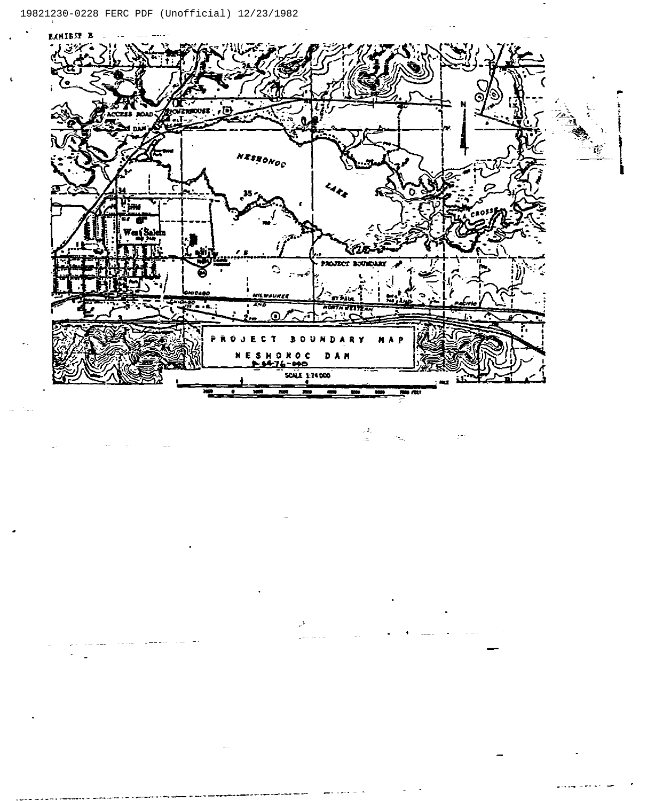

 $\mathbb{R}^{\frac{1}{2}}$  .

 $\mathcal{I}_\gamma$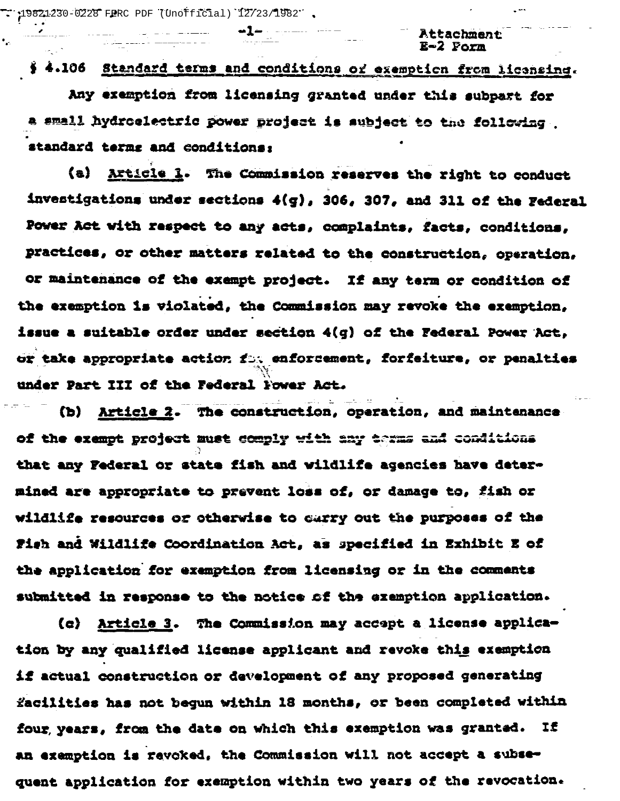$\therefore$  19821-230-0228 FERC PDF (Unofficial) 12/23/1982 .

 $\ddot{\phantom{a}}$ 

Attachment  $E = 2$  Porm

## § 4.106 Standard terms and conditions or exemption from licensing. Any exemption from licensing granted under this subpart for a small hydroelectric power project is subject to the following standard terms and conditions:

(a) Article 1. The Commission reserves the right to conduct investigations under sections 4(g), 306, 307, and 311 of the Federal Power Act with respect to any acts, complaints, facts, conditions, practices, or other matters related to the construction, operation, or maintenance of the exempt project. If any term or condition of the exemption is violated, the Commission may revoke the exemption, issue a suitable order under section 4(g) of the Federal Power Act. or take appropriate action for enforcement, forfeiture, or penalties under Part III of the Federal Fower Act.

(b) Article 2. The construction, operation, and maintenance of the exempt project must comply with any terms and conditions that any Federal or state fish and wildlife agencies have determined are appropriate to prevent loss of, or damage to, fish or wildlife resources or otherwise to carry out the purposes of the Fish and Wildlife Coordination Act, as specified in Exhibit E of the application for exemption from licensing or in the comments submitted in response to the notice of the exemption application.

(c) Article 3. The Commission may accept a license application by any qualified license applicant and revoke this exemption if actual construction or development of any proposed generating facilities has not begun within 18 months, or been completed within four years, from the date on which this exemption was granted. If an exemption is revoked, the Commission will not accept a subsequent application for exemption within two years of the revocation.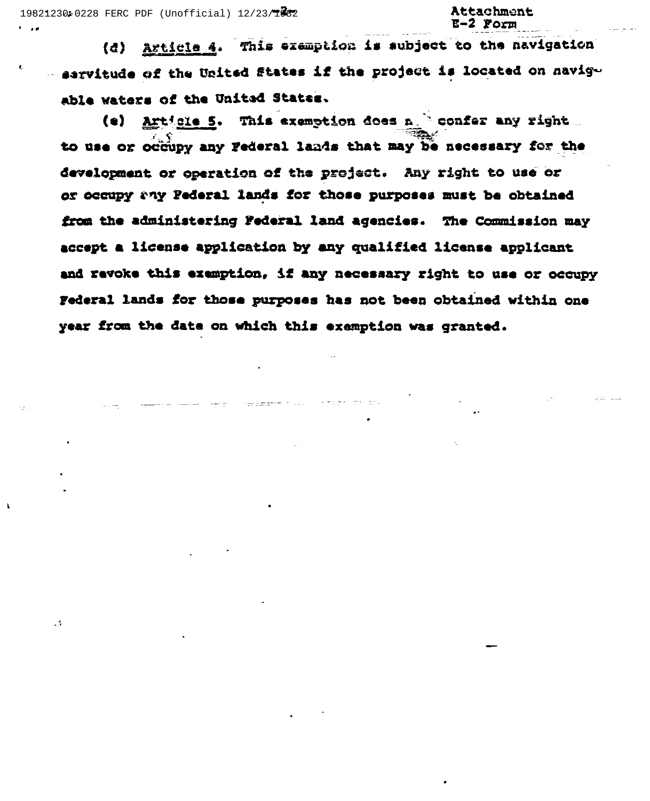$\mathbf{A} = \mathbf{A} \mathbf{A}$ 

و .

### Attachment  $E-2$  Form

Article 4. This examption is subject to the navigation  $\{a\}$ sarvitude of the United States if the project is located on havigable waters of the United States.

Article 5. This exemption does a " confer any right ... (e) to use or occupy any Federal lands that may be necessary for the development or operation of the project. Any right to use or or occupy any Pederal lands for those purposes must be obtained from the administering Federal land agencies. The Commission may accept a license application by any qualified license applicant and revoke this exemption, if any necessary right to use or occupy Federal lands for those purposes has not been obtained within one year from the date on which this exemption was granted.